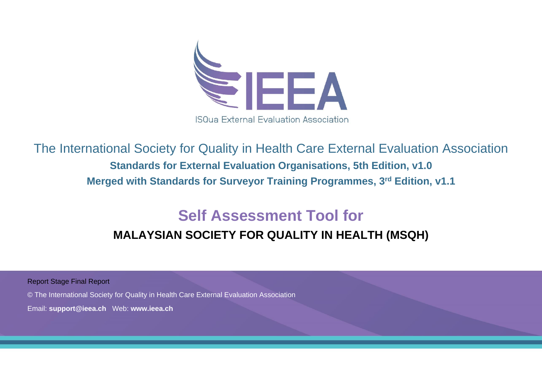

The International Society for Quality in Health Care External Evaluation Association **Standards for External Evaluation Organisations, 5th Edition, v1.0 Merged with Standards for Surveyor Training Programmes, 3rd Edition, v1.1**

# **Self Assessment Tool for**

## **MALAYSIAN SOCIETY FOR QUALITY IN HEALTH (MSQH)**

Report Stage Final Report

© The International Society for Quality in Health Care External Evaluation Association

Email: **support@ieea.ch** Web: **[www.ieea.ch](http://www.isqua.org/)**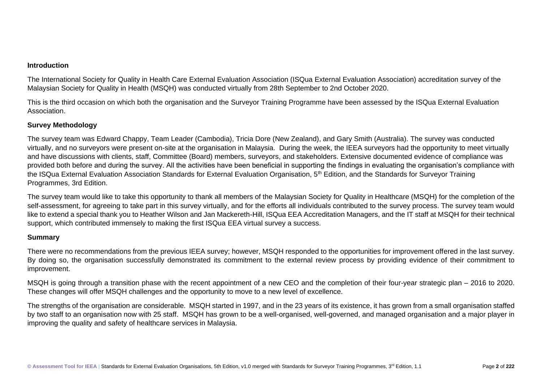#### **Introduction**

The International Society for Quality in Health Care External Evaluation Association (ISQua External Evaluation Association) accreditation survey of the Malaysian Society for Quality in Health (MSQH) was conducted virtually from 28th September to 2nd October 2020.

This is the third occasion on which both the organisation and the Surveyor Training Programme have been assessed by the ISQua External Evaluation Association.

#### **Survey Methodology**

The survey team was Edward Chappy, Team Leader (Cambodia), Tricia Dore (New Zealand), and Gary Smith (Australia). The survey was conducted virtually, and no surveyors were present on-site at the organisation in Malaysia. During the week, the IEEA surveyors had the opportunity to meet virtually and have discussions with clients, staff, Committee (Board) members, surveyors, and stakeholders. Extensive documented evidence of compliance was provided both before and during the survey. All the activities have been beneficial in supporting the findings in evaluating the organisation's compliance with the ISQua External Evaluation Association Standards for External Evaluation Organisation, 5<sup>th</sup> Edition, and the Standards for Surveyor Training Programmes, 3rd Edition.

The survey team would like to take this opportunity to thank all members of the Malaysian Society for Quality in Healthcare (MSQH) for the completion of the self-assessment, for agreeing to take part in this survey virtually, and for the efforts all individuals contributed to the survey process. The survey team would like to extend a special thank you to Heather Wilson and Jan Mackereth-Hill, ISQua EEA Accreditation Managers, and the IT staff at MSQH for their technical support, which contributed immensely to making the first ISQua EEA virtual survey a success.

#### **Summary**

There were no recommendations from the previous IEEA survey; however, MSQH responded to the opportunities for improvement offered in the last survey. By doing so, the organisation successfully demonstrated its commitment to the external review process by providing evidence of their commitment to improvement.

MSQH is going through a transition phase with the recent appointment of a new CEO and the completion of their four-year strategic plan – 2016 to 2020. These changes will offer MSQH challenges and the opportunity to move to a new level of excellence.

The strengths of the organisation are considerable. MSQH started in 1997, and in the 23 years of its existence, it has grown from a small organisation staffed by two staff to an organisation now with 25 staff. MSQH has grown to be a well-organised, well-governed, and managed organisation and a major player in improving the quality and safety of healthcare services in Malaysia.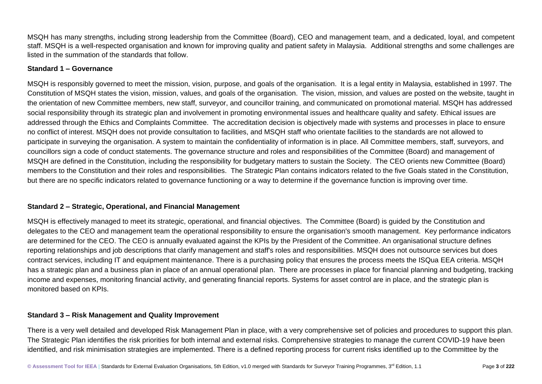MSQH has many strengths, including strong leadership from the Committee (Board), CEO and management team, and a dedicated, loyal, and competent staff. MSQH is a well-respected organisation and known for improving quality and patient safety in Malaysia. Additional strengths and some challenges are listed in the summation of the standards that follow.

#### **Standard 1 – Governance**

MSQH is responsibly governed to meet the mission, vision, purpose, and goals of the organisation. It is a legal entity in Malaysia, established in 1997. The Constitution of MSQH states the vision, mission, values, and goals of the organisation. The vision, mission, and values are posted on the website, taught in the orientation of new Committee members, new staff, surveyor, and councillor training, and communicated on promotional material. MSQH has addressed social responsibility through its strategic plan and involvement in promoting environmental issues and healthcare quality and safety. Ethical issues are addressed through the Ethics and Complaints Committee. The accreditation decision is objectively made with systems and processes in place to ensure no conflict of interest. MSQH does not provide consultation to facilities, and MSQH staff who orientate facilities to the standards are not allowed to participate in surveying the organisation. A system to maintain the confidentiality of information is in place. All Committee members, staff, surveyors, and councillors sign a code of conduct statements. The governance structure and roles and responsibilities of the Committee (Board) and management of MSQH are defined in the Constitution, including the responsibility for budgetary matters to sustain the Society. The CEO orients new Committee (Board) members to the Constitution and their roles and responsibilities. The Strategic Plan contains indicators related to the five Goals stated in the Constitution, but there are no specific indicators related to governance functioning or a way to determine if the governance function is improving over time.

#### **Standard 2 – Strategic, Operational, and Financial Management**

MSQH is effectively managed to meet its strategic, operational, and financial objectives. The Committee (Board) is guided by the Constitution and delegates to the CEO and management team the operational responsibility to ensure the organisation's smooth management. Key performance indicators are determined for the CEO. The CEO is annually evaluated against the KPIs by the President of the Committee. An organisational structure defines reporting relationships and job descriptions that clarify management and staff's roles and responsibilities. MSQH does not outsource services but does contract services, including IT and equipment maintenance. There is a purchasing policy that ensures the process meets the ISQua EEA criteria. MSQH has a strategic plan and a business plan in place of an annual operational plan. There are processes in place for financial planning and budgeting, tracking income and expenses, monitoring financial activity, and generating financial reports. Systems for asset control are in place, and the strategic plan is monitored based on KPIs.

#### **Standard 3 – Risk Management and Quality Improvement**

There is a very well detailed and developed Risk Management Plan in place, with a very comprehensive set of policies and procedures to support this plan. The Strategic Plan identifies the risk priorities for both internal and external risks. Comprehensive strategies to manage the current COVID-19 have been identified, and risk minimisation strategies are implemented. There is a defined reporting process for current risks identified up to the Committee by the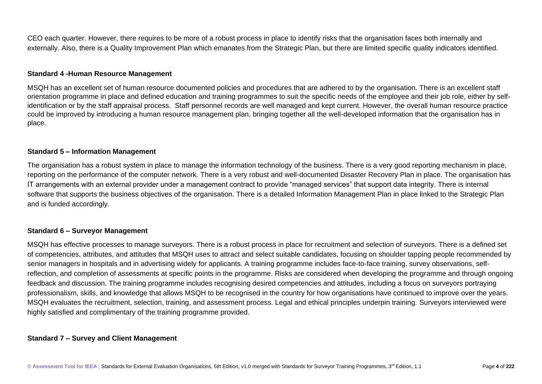CEO each quarter. However, there requires to be more of a robust process in place to identify risks that the organisation faces both internally and externally. Also, there is a Quality Improvement Plan which emanates from the Strategic Plan, but there are limited specific quality indicators identified.

#### **Standard 4 -Human Resource Management**

MSQH has an excellent set of human resource documented policies and procedures that are adhered to by the organisation. There is an excellent staff orientation programme in place and defined education and training programmes to suit the specific needs of the employee and their job role, either by selfidentification or by the staff appraisal process. Staff personnel records are well managed and kept current. However, the overall human resource practice could be improved by introducing a human resource management plan, bringing together all the well-developed information that the organisation has in place.

#### **Standard 5 – Information Management**

The organisation has a robust system in place to manage the information technology of the business. There is a very good reporting mechanism in place, reporting on the performance of the computer network. There is a very robust and well-documented Disaster Recovery Plan in place. The organisation has IT arrangements with an external provider under a management contract to provide "managed services" that support data integrity. There is internal software that supports the business objectives of the organisation. There is a detailed Information Management Plan in place linked to the Strategic Plan and is funded accordingly.

#### **Standard 6 – Surveyor Management**

MSQH has effective processes to manage surveyors. There is a robust process in place for recruitment and selection of surveyors. There is a defined set of competencies, attributes, and attitudes that MSQH uses to attract and select suitable candidates, focusing on shoulder tapping people recommended by senior managers in hospitals and in advertising widely for applicants. A training programme includes face-to-face training, survey observations, selfreflection, and completion of assessments at specific points in the programme. Risks are considered when developing the programme and through ongoing feedback and discussion. The training programme includes recognising desired competencies and attitudes, including a focus on surveyors portraying professionalism, skills, and knowledge that allows MSQH to be recognised in the country for how organisations have continued to improve over the years. MSQH evaluates the recruitment, selection, training, and assessment process. Legal and ethical principles underpin training. Surveyors interviewed were highly satisfied and complimentary of the training programme provided.

#### **Standard 7 – Survey and Client Management**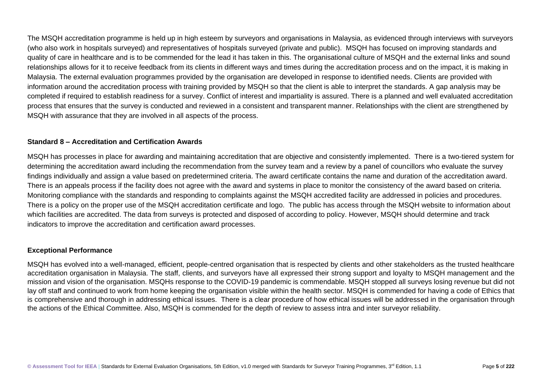The MSQH accreditation programme is held up in high esteem by surveyors and organisations in Malaysia, as evidenced through interviews with surveyors (who also work in hospitals surveyed) and representatives of hospitals surveyed (private and public). MSQH has focused on improving standards and quality of care in healthcare and is to be commended for the lead it has taken in this. The organisational culture of MSQH and the external links and sound relationships allows for it to receive feedback from its clients in different ways and times during the accreditation process and on the impact, it is making in Malaysia. The external evaluation programmes provided by the organisation are developed in response to identified needs. Clients are provided with information around the accreditation process with training provided by MSQH so that the client is able to interpret the standards. A gap analysis may be completed if required to establish readiness for a survey. Conflict of interest and impartiality is assured. There is a planned and well evaluated accreditation process that ensures that the survey is conducted and reviewed in a consistent and transparent manner. Relationships with the client are strengthened by MSQH with assurance that they are involved in all aspects of the process.

#### **Standard 8 – Accreditation and Certification Awards**

MSQH has processes in place for awarding and maintaining accreditation that are objective and consistently implemented. There is a two-tiered system for determining the accreditation award including the recommendation from the survey team and a review by a panel of councillors who evaluate the survey findings individually and assign a value based on predetermined criteria. The award certificate contains the name and duration of the accreditation award. There is an appeals process if the facility does not agree with the award and systems in place to monitor the consistency of the award based on criteria. Monitoring compliance with the standards and responding to complaints against the MSQH accredited facility are addressed in policies and procedures. There is a policy on the proper use of the MSQH accreditation certificate and logo. The public has access through the MSQH website to information about which facilities are accredited. The data from surveys is protected and disposed of according to policy. However, MSQH should determine and track indicators to improve the accreditation and certification award processes.

#### **Exceptional Performance**

MSQH has evolved into a well-managed, efficient, people-centred organisation that is respected by clients and other stakeholders as the trusted healthcare accreditation organisation in Malaysia. The staff, clients, and surveyors have all expressed their strong support and loyalty to MSQH management and the mission and vision of the organisation. MSQHs response to the COVID-19 pandemic is commendable. MSQH stopped all surveys losing revenue but did not lay off staff and continued to work from home keeping the organisation visible within the health sector. MSQH is commended for having a code of Ethics that is comprehensive and thorough in addressing ethical issues. There is a clear procedure of how ethical issues will be addressed in the organisation through the actions of the Ethical Committee. Also, MSQH is commended for the depth of review to assess intra and inter surveyor reliability.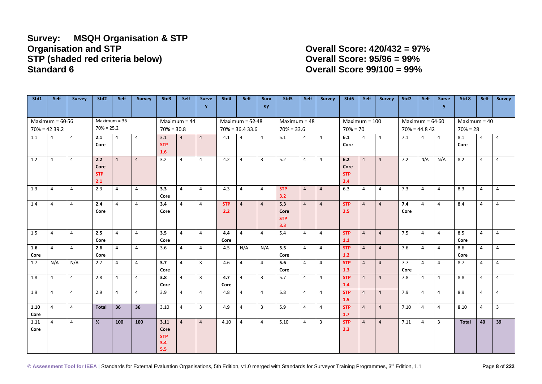### **Survey: MSQH Organisation & STP STP (shaded red criteria below) Overall Score: 95/96 = 99% Standard 6 Overall Score 99/100 = 99%**

**Organisation and STP Overall Score: 420/432 = 97%**

| Std1              | <b>Self</b>      | <b>Survey</b>  | Std <sub>2</sub> | <b>Self</b>    | <b>Survey</b>  | Std3           | Self           | <b>Surve</b>   | Std4              | Self              | <b>Surv</b>    | Std <sub>5</sub> | Self           | <b>Survey</b>  | Std6              | Self           | Survey         | Std7              | <b>Self</b>    | <b>Surve</b>   | Std 8          | Self           | Survey         |
|-------------------|------------------|----------------|------------------|----------------|----------------|----------------|----------------|----------------|-------------------|-------------------|----------------|------------------|----------------|----------------|-------------------|----------------|----------------|-------------------|----------------|----------------|----------------|----------------|----------------|
|                   |                  |                |                  |                |                |                |                | y              |                   |                   | ey             |                  |                |                |                   |                |                |                   |                | v              |                |                |                |
|                   |                  |                |                  |                |                |                |                |                |                   |                   |                |                  |                |                |                   |                |                |                   |                |                |                |                |                |
| Maximum = $60-56$ |                  |                |                  | $Maximum = 36$ |                | $Maximum = 44$ |                |                | Maximum = $52-48$ |                   |                | $Maximum = 48$   |                |                | $Maximum = 100$   |                |                | Maximum = $64-60$ |                |                | $Maximum = 40$ |                |                |
|                   | $70\% = 42-39.2$ |                |                  | $70\% = 25.2$  |                | $70\% = 30.8$  |                |                |                   | $70\% = 36.433.6$ |                | $70\% = 33.6$    |                |                | $70\% = 70$       |                |                | $70\% = 44.842$   |                |                | $70% = 28$     |                |                |
| 1.1               | 4                | 4              | 2.1              | 4              | $\overline{4}$ | 3.1            | $\overline{4}$ | $\overline{4}$ | 4.1               | 4                 | $\overline{4}$ | 5.1              | 4              | 4              | 6.1               | 4              | $\overline{4}$ | 7.1               | $\overline{4}$ | $\overline{4}$ | 8.1            | $\overline{4}$ | 4              |
|                   |                  |                | Core             |                |                | <b>STP</b>     |                |                |                   |                   |                |                  |                |                | Core              |                |                |                   |                |                | Core           |                |                |
|                   |                  |                |                  |                |                | 1.6            |                |                |                   |                   |                |                  |                |                |                   |                |                |                   |                |                |                |                |                |
| 1.2               | 4                | $\overline{4}$ | 2.2              | $\overline{4}$ | $\overline{4}$ | 3.2            | $\overline{4}$ | $\overline{4}$ | 4.2               | $\overline{4}$    | 3              | 5.2              | $\overline{4}$ | $\overline{4}$ | 6.2               | $\overline{4}$ | $\overline{4}$ | 7.2               | N/A            | N/A            | 8.2            | $\overline{4}$ | $\overline{4}$ |
|                   |                  |                | Core             |                |                |                |                |                |                   |                   |                |                  |                |                | Core              |                |                |                   |                |                |                |                |                |
|                   |                  |                | <b>STP</b>       |                |                |                |                |                |                   |                   |                |                  |                |                | <b>STP</b>        |                |                |                   |                |                |                |                |                |
|                   |                  |                | 2.1              |                |                |                |                |                |                   |                   |                |                  |                |                | 2.4               |                |                |                   |                |                |                |                |                |
| 1.3               | 4                | $\overline{4}$ | 2.3              | $\overline{4}$ | 4              | 3.3            | $\overline{4}$ | $\overline{4}$ | 4.3               | $\overline{4}$    | 4              | <b>STP</b>       | $\overline{4}$ | $\overline{4}$ | 6.3               | $\overline{4}$ | $\overline{4}$ | 7.3               | $\overline{4}$ | $\overline{4}$ | 8.3            | $\overline{4}$ | $\overline{4}$ |
|                   |                  |                |                  |                |                | Core           |                |                |                   |                   |                | 3.2              |                |                |                   |                |                |                   |                |                |                |                |                |
| 1.4               | $\overline{4}$   | $\overline{4}$ | 2.4              | $\overline{4}$ | $\overline{4}$ | 3.4            | $\overline{4}$ | $\overline{4}$ | <b>STP</b>        | $\overline{4}$    | $\overline{4}$ | 5.3              | $\overline{4}$ | $\overline{4}$ | <b>STP</b>        | $\overline{4}$ | $\overline{4}$ | 7.4               | $\overline{4}$ | $\overline{4}$ | 8.4            | $\overline{4}$ | $\overline{4}$ |
|                   |                  |                | Core             |                |                | Core           |                |                | 2.2               |                   |                | Core             |                |                | 2.5               |                |                | Core              |                |                |                |                |                |
|                   |                  |                |                  |                |                |                |                |                |                   |                   |                | <b>STP</b>       |                |                |                   |                |                |                   |                |                |                |                |                |
|                   |                  |                |                  |                |                |                |                |                |                   |                   |                | 3.3              |                |                |                   |                |                |                   |                |                |                |                |                |
| 1.5               | 4                | 4              | 2.5              | $\overline{4}$ | $\overline{4}$ | 3.5            | $\overline{4}$ | $\overline{4}$ | 4.4               | $\overline{4}$    | 4              | 5.4              | 4              | 4              | <b>STP</b>        | $\overline{4}$ | $\overline{4}$ | 7.5               | 4              | $\overline{4}$ | 8.5            | $\overline{4}$ | $\overline{4}$ |
|                   |                  |                | Core             |                |                | Core           |                |                | Core              |                   |                |                  |                |                | 1.1               |                |                |                   |                |                | Core           |                |                |
| 1.6               | $\overline{4}$   | $\overline{4}$ | 2.6              | $\overline{4}$ | $\overline{4}$ | 3.6            | $\overline{4}$ | $\overline{4}$ | 4.5               | N/A               | N/A            | 5.5<br>Core      | $\overline{4}$ | $\overline{4}$ | <b>STP</b><br>1.2 | $\overline{4}$ | $\overline{4}$ | 7.6               | $\overline{4}$ | $\overline{4}$ | 8.6<br>Core    | $\overline{4}$ | $\overline{4}$ |
| Core<br>1.7       | N/A              | N/A            | Core<br>2.7      | $\overline{4}$ | $\overline{4}$ | 3.7            | $\overline{4}$ | $\overline{3}$ | 4.6               | 4                 | $\overline{4}$ | 5.6              | $\overline{4}$ | $\overline{4}$ | <b>STP</b>        | $\overline{4}$ | $\overline{4}$ | 7.7               | $\overline{4}$ | $\overline{4}$ | 8.7            | $\overline{4}$ | $\overline{4}$ |
|                   |                  |                |                  |                |                | Core           |                |                |                   |                   |                | Core             |                |                | 1.3               |                |                | Core              |                |                |                |                |                |
| 1.8               | 4                | $\overline{4}$ | 2.8              | $\overline{4}$ | $\overline{4}$ | 3.8            | $\overline{4}$ | $\overline{3}$ | 4.7               | $\overline{4}$    | $\overline{3}$ | 5.7              | $\overline{4}$ | $\overline{4}$ | <b>STP</b>        | $\overline{4}$ | $\overline{4}$ | 7.8               | $\overline{4}$ | $\overline{4}$ | 8.8            | $\overline{4}$ | $\overline{4}$ |
|                   |                  |                |                  |                |                | Core           |                |                | Core              |                   |                |                  |                |                | 1.4               |                |                |                   |                |                |                |                |                |
| 1.9               | 4                | $\overline{4}$ | 2.9              | $\overline{4}$ | $\overline{4}$ | 3.9            | $\overline{4}$ | $\overline{4}$ | 4.8               | $\overline{4}$    | 4              | 5.8              | $\overline{4}$ | $\overline{4}$ | <b>STP</b>        | $\overline{4}$ | $\overline{4}$ | 7.9               | $\overline{4}$ | $\overline{4}$ | 8.9            | $\overline{4}$ | $\overline{4}$ |
|                   |                  |                |                  |                |                |                |                |                |                   |                   |                |                  |                |                | 1.5               |                |                |                   |                |                |                |                |                |
| 1.10              | $\overline{4}$   | $\overline{4}$ | <b>Total</b>     | 36             | 36             | 3.10           | $\overline{4}$ | $\overline{3}$ | 4.9               | $\overline{4}$    | $\overline{3}$ | 5.9              | $\overline{4}$ | $\overline{4}$ | <b>STP</b>        | $\overline{4}$ | $\overline{4}$ | 7.10              | $\overline{4}$ | $\overline{4}$ | 8.10           | $\overline{4}$ | $\overline{3}$ |
| Core              |                  |                |                  |                |                |                |                |                |                   |                   |                |                  |                |                | 1.7               |                |                |                   |                |                |                |                |                |
| 1.11              | 4                | $\overline{4}$ | %                | 100            | 100            | 3.11           | $\overline{4}$ | $\overline{4}$ | 4.10              | $\overline{4}$    | $\overline{4}$ | 5.10             | $\overline{4}$ | 3              | <b>STP</b>        | $\overline{4}$ | $\overline{4}$ | 7.11              | $\overline{4}$ | 3              | <b>Total</b>   | 40             | 39             |
| Core              |                  |                |                  |                |                | Core           |                |                |                   |                   |                |                  |                |                | 2.3               |                |                |                   |                |                |                |                |                |
|                   |                  |                |                  |                |                | <b>STP</b>     |                |                |                   |                   |                |                  |                |                |                   |                |                |                   |                |                |                |                |                |
|                   |                  |                |                  |                |                | 3.4            |                |                |                   |                   |                |                  |                |                |                   |                |                |                   |                |                |                |                |                |
|                   |                  |                |                  |                |                | 5.5            |                |                |                   |                   |                |                  |                |                |                   |                |                |                   |                |                |                |                |                |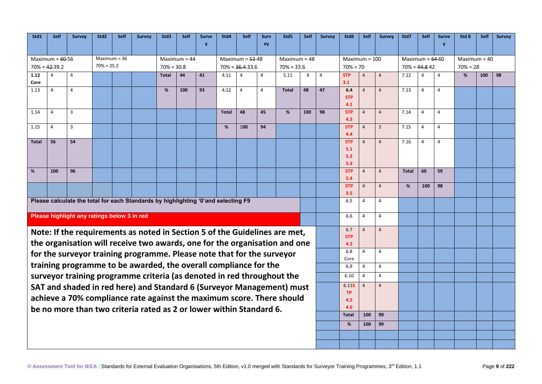| Std1                              | Self           | <b>Survey</b>                               | Std <sub>2</sub> | <b>Self</b>    | <b>Survey</b>                                                                      | Std3         | Self           | <b>Surve</b>      | Std4         | Self              | <b>Surv</b>    | Std5         | <b>Self</b>    | <b>Survey</b> | Std6              | <b>Self</b>    | <b>Survey</b>   | Std7         | Self              | <b>Surve</b>   | Std 8          | <b>Self</b> | <b>Survey</b> |
|-----------------------------------|----------------|---------------------------------------------|------------------|----------------|------------------------------------------------------------------------------------|--------------|----------------|-------------------|--------------|-------------------|----------------|--------------|----------------|---------------|-------------------|----------------|-----------------|--------------|-------------------|----------------|----------------|-------------|---------------|
|                                   |                |                                             |                  |                |                                                                                    |              |                | v                 |              |                   | ey             |              |                |               |                   |                |                 |              |                   |                |                |             |               |
|                                   |                |                                             |                  |                |                                                                                    |              |                |                   |              |                   |                |              |                |               |                   |                |                 |              |                   |                |                |             |               |
| Maximum = $60-56$                 |                |                                             |                  | Maximum = $36$ |                                                                                    |              | $Maximum = 44$ |                   |              | Maximum = $52-48$ |                |              | $Maximum = 48$ |               | $Maximum = 100$   |                |                 |              | Maximum = $64-60$ |                | $Maximum = 40$ |             |               |
| $70\% = 25.2$<br>$70\% = 42-39.2$ |                |                                             |                  | $70\% = 30.8$  |                                                                                    |              |                | $70\% = 36.433.6$ |              | $70\% = 33.6$     |                |              | $70\% = 70$    |               |                   |                | $70\% = 44.842$ |              | $70% = 28$        |                |                |             |               |
| 1.12                              | 4              | 4                                           |                  |                |                                                                                    | <b>Total</b> | 44             | 41                | 4.11         |                   | $\overline{4}$ | 5.11         | 4              | 4             | <b>STP</b>        | $\overline{4}$ | $\overline{4}$  | 7.12         | $\Delta$          | $\overline{4}$ | %              | 100         | 98            |
| Core                              |                |                                             |                  |                |                                                                                    |              |                |                   |              |                   |                |              |                |               | 3.1               |                |                 |              |                   |                |                |             |               |
| 1.13                              | 4              | $\overline{4}$                              |                  |                |                                                                                    | %            | 100            | 93                | 4.12         | 4                 | $\overline{4}$ | <b>Total</b> | 48             | 47            | 6.4<br><b>STP</b> | $\overline{a}$ | $\overline{4}$  | 7.13         | 4                 | $\overline{4}$ |                |             |               |
|                                   |                |                                             |                  |                |                                                                                    |              |                |                   |              |                   |                |              | 4.1            |               |                   |                |                 |              |                   |                |                |             |               |
| 1.14                              | $\overline{4}$ | $\overline{3}$                              |                  |                |                                                                                    |              |                |                   | <b>Total</b> | 48                | 45             | %            | 100            | 98            | <b>STP</b>        | $\overline{4}$ | $\overline{4}$  | 7.14         | $\overline{4}$    | $\overline{4}$ |                |             |               |
|                                   |                |                                             |                  |                |                                                                                    |              |                |                   |              |                   |                |              |                |               | 4.3               |                |                 |              |                   |                |                |             |               |
| 1.15                              | $\overline{4}$ | 3                                           |                  |                |                                                                                    |              |                |                   | %            | 100               | 94             |              |                |               | <b>STP</b>        | $\overline{4}$ | $\overline{3}$  | 7.15         | $\overline{4}$    | $\overline{4}$ |                |             |               |
|                                   |                |                                             |                  |                |                                                                                    |              |                |                   |              |                   |                |              |                |               | 4.4               |                |                 |              |                   |                |                |             |               |
| <b>Total</b>                      | 56             | 54                                          |                  |                |                                                                                    |              |                |                   |              |                   |                |              |                |               | <b>STP</b>        | $\overline{4}$ | $\overline{4}$  | 7.16         | $\overline{4}$    | $\overline{4}$ |                |             |               |
|                                   |                |                                             |                  |                |                                                                                    |              |                |                   |              |                   |                |              |                |               | 5.1               |                |                 |              |                   |                |                |             |               |
|                                   |                |                                             |                  |                |                                                                                    |              |                |                   |              |                   |                |              |                |               | 5.2               |                |                 |              |                   |                |                |             |               |
|                                   |                |                                             |                  |                |                                                                                    |              |                |                   |              |                   |                |              |                |               | 5.3               |                |                 |              |                   |                |                |             |               |
| %                                 | 100            | 96                                          |                  |                |                                                                                    |              |                |                   |              |                   |                |              |                |               | <b>STP</b><br>5.4 | $\overline{4}$ | $\overline{4}$  | <b>Total</b> | 60                | 59             |                |             |               |
|                                   |                |                                             |                  |                |                                                                                    |              |                |                   |              |                   |                |              |                |               | <b>STP</b>        | $\overline{4}$ | $\overline{4}$  | %            | 100               | 98             |                |             |               |
|                                   |                |                                             |                  |                |                                                                                    |              |                |                   |              |                   |                |              |                |               | 3.5               |                |                 |              |                   |                |                |             |               |
|                                   |                |                                             |                  |                | Please calculate the total for each Standards by highlighting '0' and selecting F9 |              |                |                   |              |                   |                |              |                |               | 6.5               | 4              | $\overline{4}$  |              |                   |                |                |             |               |
|                                   |                | Please highlight any ratings below 3 in red |                  |                |                                                                                    |              |                |                   |              |                   |                |              |                |               | 6.6               | $\overline{4}$ | 4               |              |                   |                |                |             |               |
|                                   |                |                                             |                  |                |                                                                                    |              |                |                   |              |                   |                |              |                |               |                   |                |                 |              |                   |                |                |             |               |
|                                   |                |                                             |                  |                | Note: If the requirements as noted in Section 5 of the Guidelines are met,         |              |                |                   |              |                   |                |              |                |               | 6.7               | $\overline{4}$ | $\overline{4}$  |              |                   |                |                |             |               |
|                                   |                |                                             |                  |                |                                                                                    |              |                |                   |              |                   |                |              |                |               | <b>STP</b>        |                |                 |              |                   |                |                |             |               |
|                                   |                |                                             |                  |                | the organisation will receive two awards, one for the organisation and one         |              |                |                   |              |                   |                |              |                |               | 4.2               |                |                 |              |                   |                |                |             |               |
|                                   |                |                                             |                  |                | for the surveyor training programme. Please note that for the surveyor             |              |                |                   |              |                   |                |              |                |               | 6.8               | $\overline{4}$ | $\overline{4}$  |              |                   |                |                |             |               |
|                                   |                |                                             |                  |                | training programme to be awarded, the overall compliance for the                   |              |                |                   |              |                   |                |              |                |               | Core              |                |                 |              |                   |                |                |             |               |
|                                   |                |                                             |                  |                |                                                                                    |              |                |                   |              |                   |                |              |                |               | 6.9               | $\overline{4}$ | $\overline{4}$  |              |                   |                |                |             |               |
|                                   |                |                                             |                  |                | surveyor training programme criteria (as denoted in red throughout the             |              |                |                   |              |                   |                |              |                |               | 6.10              | $\overline{4}$ | $\overline{4}$  |              |                   |                |                |             |               |
|                                   |                |                                             |                  |                | SAT and shaded in red here) and Standard 6 (Surveyor Management) must              |              |                |                   |              |                   |                |              |                |               | 6.11S             | $\overline{4}$ | $\overline{4}$  |              |                   |                |                |             |               |
|                                   |                |                                             |                  |                | achieve a 70% compliance rate against the maximum score. There should              |              |                |                   |              |                   |                |              |                |               | <b>TP</b>         |                |                 |              |                   |                |                |             |               |
|                                   |                |                                             |                  |                |                                                                                    |              |                |                   |              |                   |                |              |                |               | 4.5<br>4.6        |                |                 |              |                   |                |                |             |               |
|                                   |                |                                             |                  |                | be no more than two criteria rated as 2 or lower within Standard 6.                |              |                |                   |              |                   |                |              |                |               | Total             | 100            | 99              |              |                   |                |                |             |               |
|                                   |                |                                             |                  |                |                                                                                    |              |                |                   |              |                   |                |              |                |               |                   |                |                 |              |                   |                |                |             |               |
|                                   |                |                                             |                  |                |                                                                                    |              |                |                   |              |                   |                |              |                |               | %                 | 100            | 99              |              |                   |                |                |             |               |
|                                   |                |                                             |                  |                |                                                                                    |              |                |                   |              |                   |                |              |                |               |                   |                |                 |              |                   |                |                |             |               |
|                                   |                |                                             |                  |                |                                                                                    |              |                |                   |              |                   |                |              |                |               |                   |                |                 |              |                   |                |                |             |               |